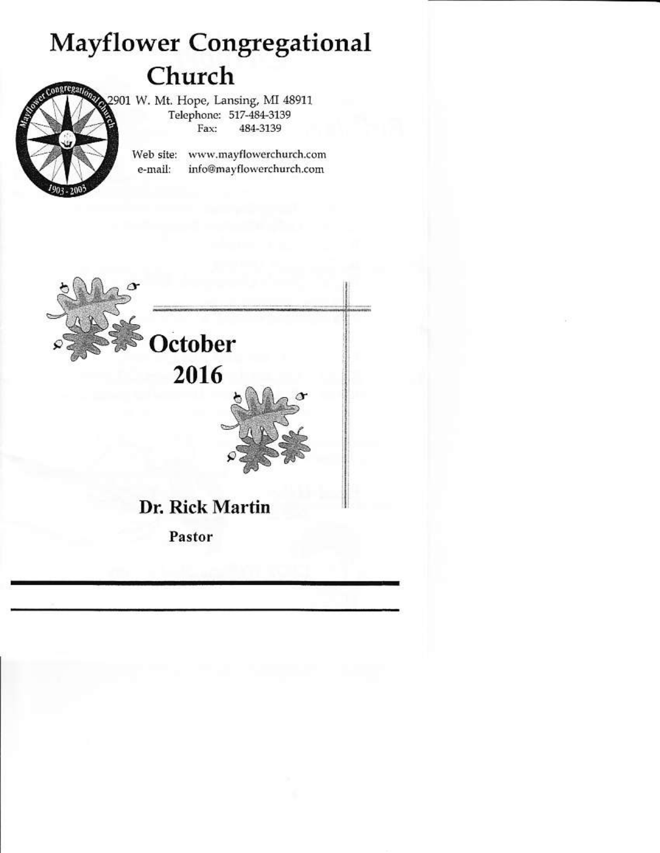# **Mayflower Congregational** Church



2901 W. Mt. Hope, Lansing, MI 48911 Telephone: 517-484-3139 484-3139 Fay-

> Web site: www.mayflowerchurch.com info@mayflowerchurch.com e-mail:

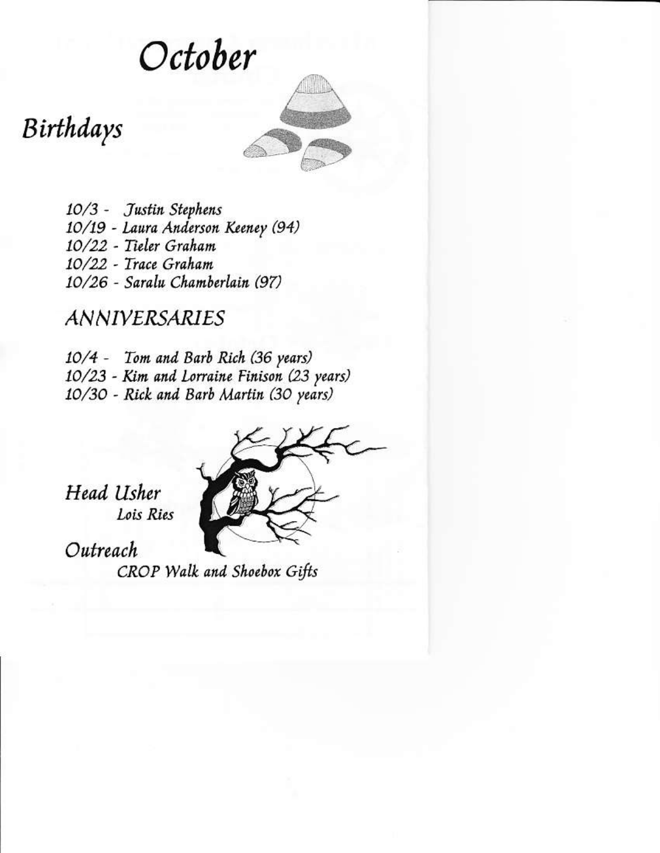October

Birthdays

10/3 - Justin Stephens 10/19 - Laura Anderson Keeney (94) 10/22 - Tieler Graham 10/22 - Trace Graham 10/26 - Saralu Chamberlain (97)

**ANNIVERSARIES** 

10/4 - Tom and Barb Rich (36 years) 10/23 - Kim and Lorraine Finison (23 years) 10/30 - Rick and Barb Martin (30 years)



Head Usher Lois Ries

Outreach

CROP Walk and Shoebox Gifts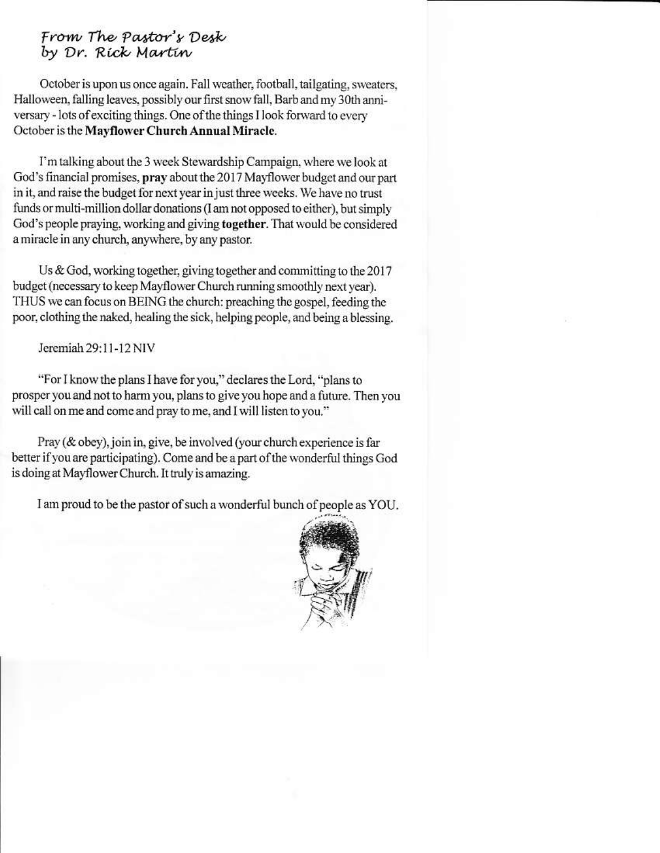# From The Pastor's Desk by Dr. Rick Martin

October is upon us once again. Fall weather, football, tailgating, sweaters, Halloween, falling leaves, possibly our first snow fall, Barb and my 30th anniversary - lots of exciting things. One of the things I look forward to every October is the Mayflower Church Annual Miracle.

I'm talking about the 3 week Stewardship Campaign, where we look at God's financial promises, pray about the 2017 Mayflower budget and our part in it, and raise the budget for next year in just three weeks. We have no trust funds or multi-million dollar donations (I am not opposed to either), but simply God's people praying, working and giving together. That would be considered a miracle in any church, anywhere, by any pastor.

Us & God, working together, giving together and committing to the  $2017$ budget (necessary to keep Mayflower Church running smoothly next year). THUS we can focus on BEING the church: preaching the gospel, feeding the poor, clothing the naked, healing the sick, helping people, and being a blessing.

Jeremiah 29:11-12 NIV

"For I know the plans I have for you," declares the Lord, "plans to prosper you and not to harm you, plans to give you hope and a future. Then you will call on me and come and pray to me, and I will listen to you."

Pray (& obey), join in, give, be involved (your church experience is far better if you are participating). Come and be a part of the wonderful things God is doing at Mayflower Church. It truly is amazing.

I am proud to be the pastor of such a wonderful bunch of people as YOU.

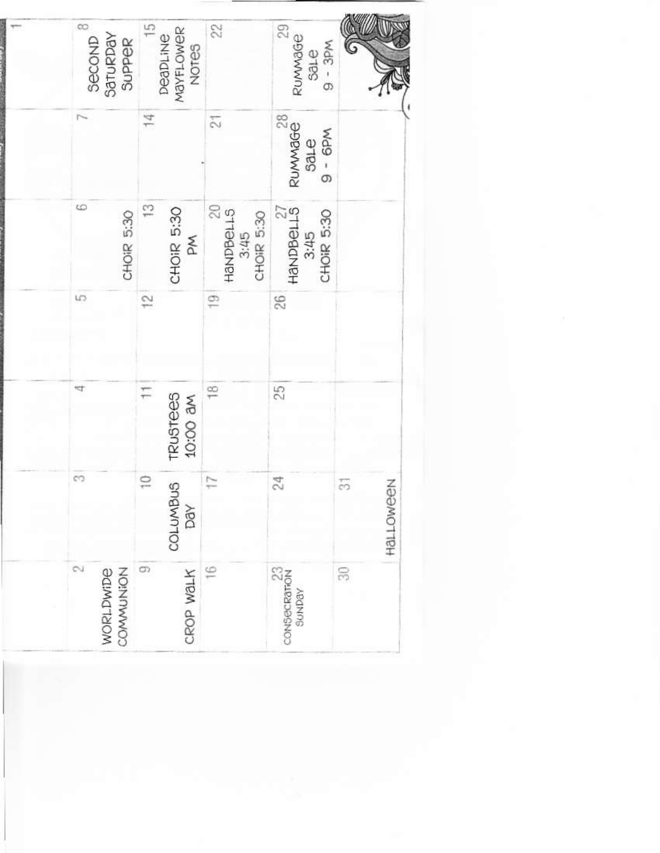| 50                       |
|--------------------------|
|                          |
| $\frac{23}{3}$<br>sunbay |
| $\frac{8}{1}$            |
| COLUMBUS<br>CROP WALK    |
| D                        |
| WORLDWIDE                |
|                          |
|                          |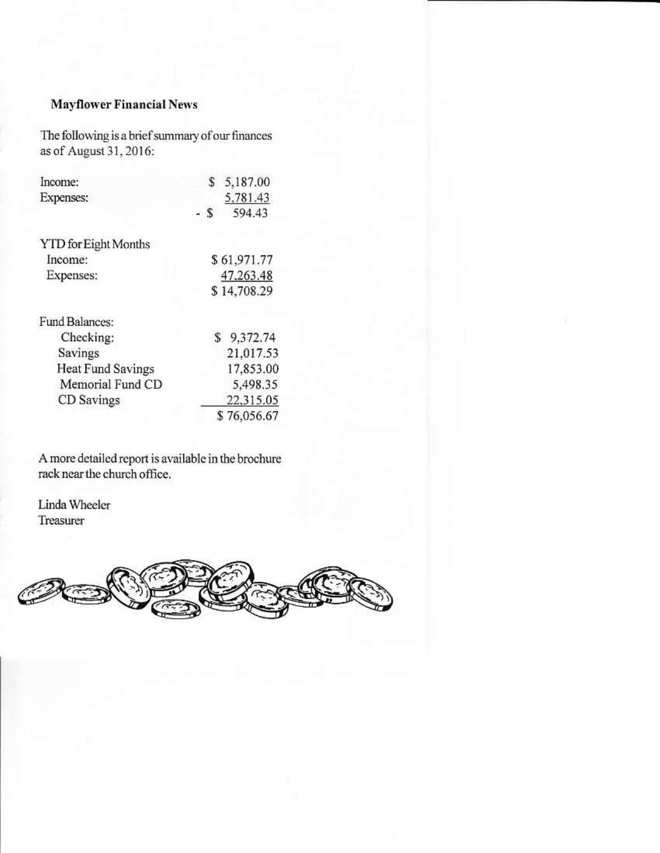## **Mayflower Financial News**

The following is a brief summary of our finances as of August 31, 2016:

| Income:                     | \$          | 5,187.00    |
|-----------------------------|-------------|-------------|
| Expenses:                   |             | 5,781.43    |
|                             | - \$        | 594.43      |
| <b>YTD</b> for Eight Months |             |             |
| Income:                     |             | \$61,971.77 |
| Expenses:                   |             | 47,263.48   |
|                             | \$14,708.29 |             |
| Fund Balances:              |             |             |
| Checking:                   |             | \$9,372.74  |
| Savings                     |             | 21,017.53   |
| Heat Fund Savings           |             | 17,853.00   |
| Memorial Fund CD            |             | 5,498.35    |
| CD Savings                  |             | 22,315.05   |
|                             |             | \$76,056.67 |

A more detailed report is available in the brochure rack near the church office.

Linda Wheeler Treasurer

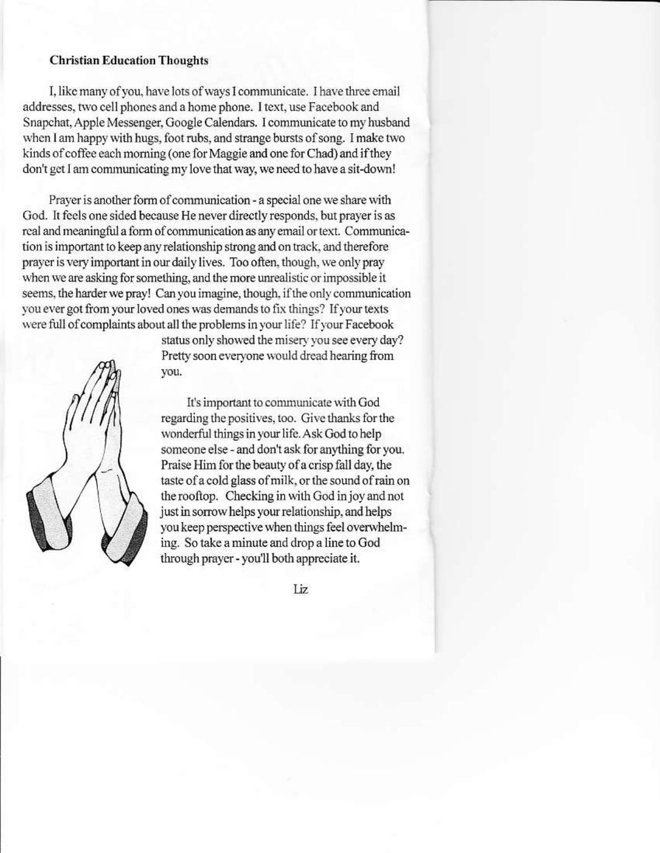#### **Christian Education Thoughts**

I, like many of you, have lots of ways I communicate. I have three email addresses, two cell phones and a home phone. I text, use Facebook and Snapchat, Apple Messenger, Google Calendars. I communicate to my husband when I am happy with hugs, foot rubs, and strange bursts of song. I make two kinds of coffee each morning (one for Maggie and one for Chad) and if they don't get I am communicating my love that way, we need to have a sit-down!

Prayer is another form of communication - a special one we share with God. It feels one sided because He never directly responds, but prayer is as real and meaningful a form of communication as any email or text. Communication is important to keep any relationship strong and on track, and therefore prayer is very important in our daily lives. Too often, though, we only pray when we are asking for something, and the more unrealistic or impossible it seems, the harder we pray! Can you imagine, though, if the only communication you ever got from your loved ones was demands to fix things? If your texts were full of complaints about all the problems in your life? If your Facebook



status only showed the misery you see every day? Pretty soon everyone would dread hearing from you.

It's important to communicate with God regarding the positives, too. Give thanks for the wonderful things in your life. Ask God to help someone else - and don't ask for anything for you. Praise Him for the beauty of a crisp fall day, the taste of a cold glass of milk, or the sound of rain on the rooftop. Checking in with God in joy and not just in sorrow helps your relationship, and helps you keep perspective when things feel overwhelming. So take a minute and drop a line to God through prayer - you'll both appreciate it.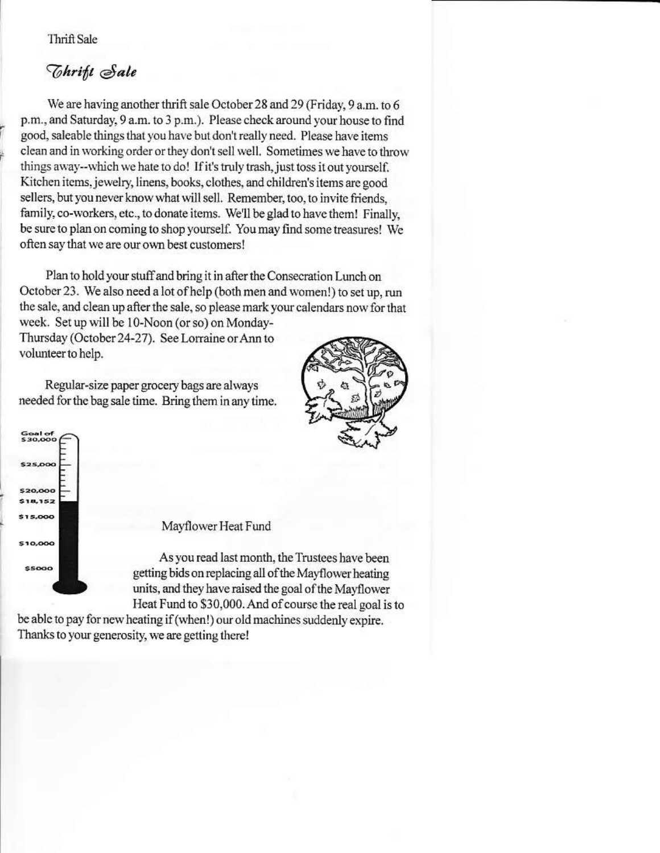Thrift Sale

# *Thrift Sale*

We are having another thrift sale October 28 and 29 (Friday, 9 a.m. to 6 p.m., and Saturday, 9 a.m. to 3 p.m.). Please check around your house to find good, saleable things that you have but don't really need. Please have items clean and in working order or they don't sell well. Sometimes we have to throw things away--which we hate to do! If it's truly trash, just toss it out yourself. Kitchen items, jewelry, linens, books, clothes, and children's items are good sellers, but you never know what will sell. Remember, too, to invite friends, family, co-workers, etc., to donate items. We'll be glad to have them! Finally, be sure to plan on coming to shop yourself. You may find some treasures! We often say that we are our own best customers!

Plan to hold your stuff and bring it in after the Consecration Lunch on October 23. We also need a lot of help (both men and women!) to set up, run the sale, and clean up after the sale, so please mark your calendars now for that week. Set up will be 10-Noon (or so) on Monday-Thursday (October 24-27). See Lorraine or Ann to volunteer to help.

Regular-size paper grocery bags are always needed for the bag sale time. Bring them in any time.





### Mayflower Heat Fund

As you read last month, the Trustees have been getting bids on replacing all of the Mayflower heating units, and they have raised the goal of the Mayflower Heat Fund to \$30,000. And of course the real goal is to

be able to pay for new heating if (when!) our old machines suddenly expire. Thanks to your generosity, we are getting there!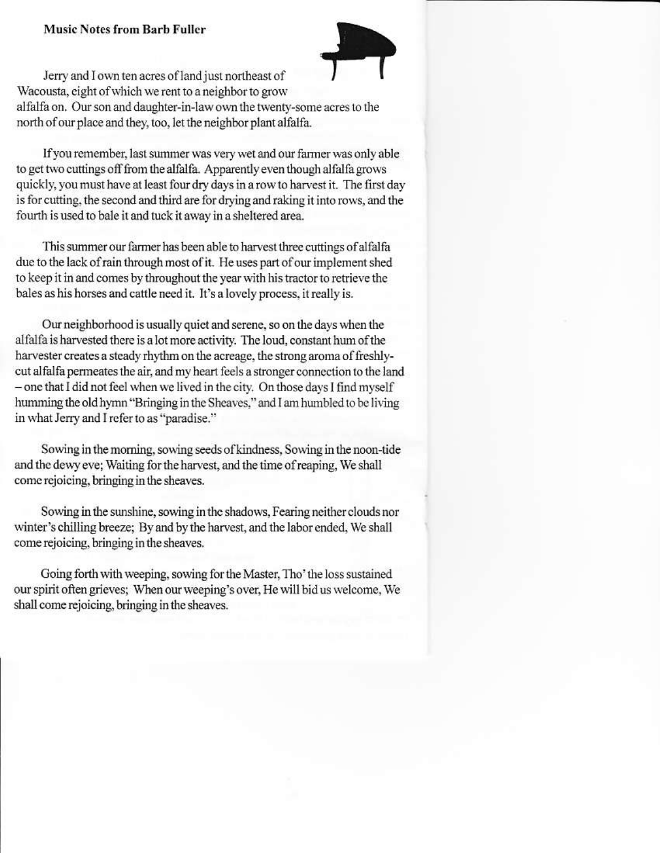#### **Music Notes from Barb Fuller**



Jerry and I own ten acres of land just northeast of Wacousta, eight of which we rent to a neighbor to grow alfalfa on. Our son and daughter-in-law own the twenty-some acres to the north of our place and they, too, let the neighbor plant alfalfa.

If you remember, last summer was very wet and our farmer was only able to get two cuttings off from the alfalfa. Apparently even though alfalfa grows quickly, you must have at least four dry days in a row to harvest it. The first day is for cutting, the second and third are for drying and raking it into rows, and the fourth is used to bale it and tuck it away in a sheltered area.

This summer our farmer has been able to harvest three cuttings of alfalfa due to the lack of rain through most of it. He uses part of our implement shed to keep it in and comes by throughout the year with his tractor to retrieve the bales as his horses and cattle need it. It's a lovely process, it really is.

Our neighborhood is usually quiet and serene, so on the days when the alfalfa is harvested there is a lot more activity. The loud, constant hum of the harvester creates a steady rhythm on the acreage, the strong aroma of freshlycut alfalfa permeates the air, and my heart feels a stronger connection to the land - one that I did not feel when we lived in the city. On those days I find myself humming the old hymn "Bringing in the Sheaves," and I am humbled to be living in what Jerry and I refer to as "paradise."

Sowing in the morning, sowing seeds of kindness, Sowing in the noon-tide and the dewy eve; Waiting for the harvest, and the time of reaping, We shall come rejoicing, bringing in the sheaves.

Sowing in the sunshine, sowing in the shadows, Fearing neither clouds nor winter's chilling breeze; By and by the harvest, and the labor ended, We shall come rejoicing, bringing in the sheaves.

Going forth with weeping, sowing for the Master, Tho' the loss sustained our spirit often grieves; When our weeping's over, He will bid us welcome, We shall come rejoicing, bringing in the sheaves.